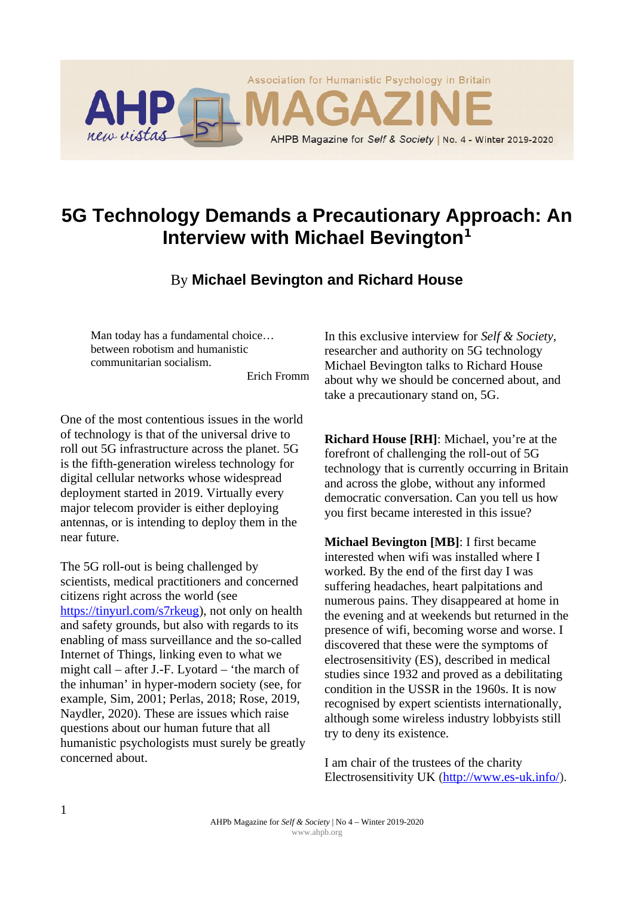

# **5G Technology Demands a Precautionary Approach: An Interview with Michael Bevington<sup>1</sup>**

## By **Michael Bevington and Richard House**

Man today has a fundamental choice… between robotism and humanistic communitarian socialism.

Erich Fromm

One of the most contentious issues in the world of technology is that of the universal drive to roll out 5G infrastructure across the planet. 5G is the fifth-generation wireless technology for digital cellular networks whose widespread deployment started in 2019. Virtually every major telecom provider is either deploying antennas, or is intending to deploy them in the near future.

The 5G roll-out is being challenged by scientists, medical practitioners and concerned citizens right across the world (see [https://tinyurl.com/s7rkeug\)](https://tinyurl.com/s7rkeug), not only on health and safety grounds, but also with regards to its enabling of mass surveillance and the so-called Internet of Things, linking even to what we might call – after J.-F. Lyotard – 'the march of the inhuman' in hyper-modern society (see, for example, Sim, 2001; Perlas, 2018; Rose, 2019, Naydler, 2020). These are issues which raise questions about our human future that all humanistic psychologists must surely be greatly concerned about.

In this exclusive interview for *Self & Society*, researcher and authority on 5G technology Michael Bevington talks to Richard House about why we should be concerned about, and take a precautionary stand on, 5G.

**Richard House [RH]**: Michael, you're at the forefront of challenging the roll-out of 5G technology that is currently occurring in Britain and across the globe, without any informed democratic conversation. Can you tell us how you first became interested in this issue?

**Michael Bevington [MB]**: I first became interested when wifi was installed where I worked. By the end of the first day I was suffering headaches, heart palpitations and numerous pains. They disappeared at home in the evening and at weekends but returned in the presence of wifi, becoming worse and worse. I discovered that these were the symptoms of electrosensitivity (ES), described in medical studies since 1932 and proved as a debilitating condition in the USSR in the 1960s. It is now recognised by expert scientists internationally, although some wireless industry lobbyists still try to deny its existence.

I am chair of the trustees of the charity Electrosensitivity UK [\(http://www.es-uk.info/\)](http://www.es-uk.info/).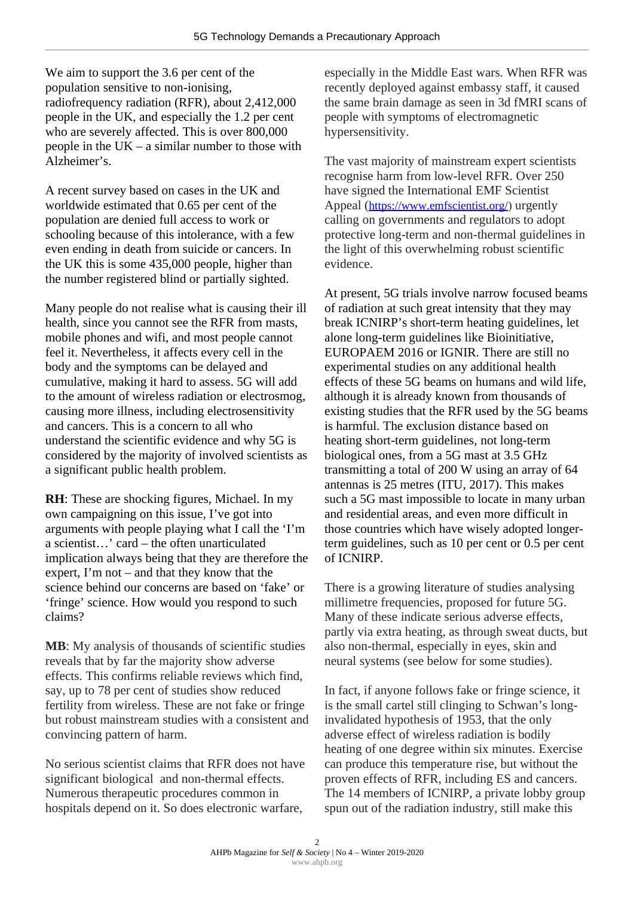We aim to support the 3.6 per cent of the population sensitive to non-ionising, radiofrequency radiation (RFR), about 2,412,000 people in the UK, and especially the 1.2 per cent who are severely affected. This is over 800,000 people in the  $UK - a$  similar number to those with Alzheimer's.

A recent survey based on cases in the UK and worldwide estimated that 0.65 per cent of the population are denied full access to work or schooling because of this intolerance, with a few even ending in death from suicide or cancers. In the UK this is some 435,000 people, higher than the number registered blind or partially sighted.

Many people do not realise what is causing their ill health, since you cannot see the RFR from masts, mobile phones and wifi, and most people cannot feel it. Nevertheless, it affects every cell in the body and the symptoms can be delayed and cumulative, making it hard to assess. 5G will add to the amount of wireless radiation or electrosmog, causing more illness, including electrosensitivity and cancers. This is a concern to all who understand the scientific evidence and why 5G is considered by the majority of involved scientists as a significant public health problem.

**RH**: These are shocking figures, Michael. In my own campaigning on this issue, I've got into arguments with people playing what I call the 'I'm a scientist…' card – the often unarticulated implication always being that they are therefore the expert, I'm not – and that they know that the science behind our concerns are based on 'fake' or 'fringe' science. How would you respond to such claims?

**MB**: My analysis of thousands of scientific studies reveals that by far the majority show adverse effects. This confirms reliable reviews which find, say, up to 78 per cent of studies show reduced fertility from wireless. These are not fake or fringe but robust mainstream studies with a consistent and convincing pattern of harm.

No serious scientist claims that RFR does not have significant biological and non-thermal effects. Numerous therapeutic procedures common in hospitals depend on it. So does electronic warfare,

especially in the Middle East wars. When RFR was recently deployed against embassy staff, it caused the same brain damage as seen in 3d fMRI scans of people with symptoms of electromagnetic hypersensitivity.

The vast majority of mainstream expert scientists recognise harm from low-level RFR. Over 250 have signed the International EMF Scientist Appeal ([https://www.emfscientist.org/\)](https://www.emfscientist.org/) urgently calling on governments and regulators to adopt protective long-term and non-thermal guidelines in the light of this overwhelming robust scientific evidence.

At present, 5G trials involve narrow focused beams of radiation at such great intensity that they may break ICNIRP's short-term heating guidelines, let alone long-term guidelines like Bioinitiative, EUROPAEM 2016 or IGNIR. There are still no experimental studies on any additional health effects of these 5G beams on humans and wild life, although it is already known from thousands of existing studies that the RFR used by the 5G beams is harmful. The exclusion distance based on heating short-term guidelines, not long-term biological ones, from a 5G mast at 3.5 GHz transmitting a total of 200 W using an array of 64 antennas is 25 metres (ITU, 2017). This makes such a 5G mast impossible to locate in many urban and residential areas, and even more difficult in those countries which have wisely adopted longerterm guidelines, such as 10 per cent or 0.5 per cent of ICNIRP.

There is a growing literature of studies analysing millimetre frequencies, proposed for future 5G. Many of these indicate serious adverse effects, partly via extra heating, as through sweat ducts, but also non-thermal, especially in eyes, skin and neural systems (see below for some studies).

In fact, if anyone follows fake or fringe science, it is the small cartel still clinging to Schwan's longinvalidated hypothesis of 1953, that the only adverse effect of wireless radiation is bodily heating of one degree within six minutes. Exercise can produce this temperature rise, but without the proven effects of RFR, including ES and cancers. The 14 members of ICNIRP, a private lobby group spun out of the radiation industry, still make this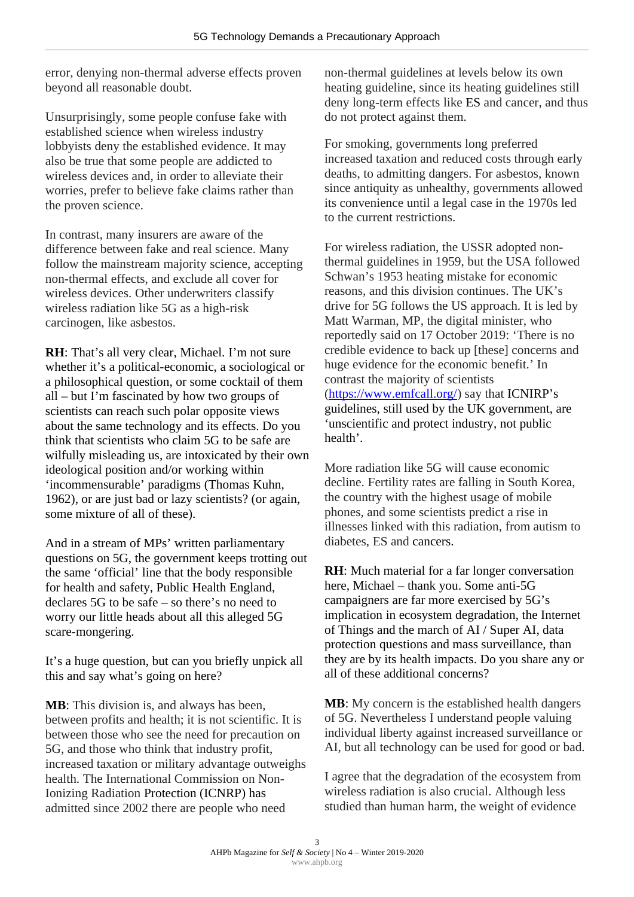error, denying non-thermal adverse effects proven beyond all reasonable doubt.

Unsurprisingly, some people confuse fake with established science when wireless industry lobbyists deny the established evidence. It may also be true that some people are addicted to wireless devices and, in order to alleviate their worries, prefer to believe fake claims rather than the proven science.

In contrast, many insurers are aware of the difference between fake and real science. Many follow the mainstream majority science, accepting non-thermal effects, and exclude all cover for wireless devices. Other underwriters classify wireless radiation like 5G as a high-risk carcinogen, like asbestos.

**RH**: That's all very clear, Michael. I'm not sure whether it's a political-economic, a sociological or a philosophical question, or some cocktail of them all – but I'm fascinated by how two groups of scientists can reach such polar opposite views about the same technology and its effects. Do you think that scientists who claim 5G to be safe are wilfully misleading us, are intoxicated by their own ideological position and/or working within 'incommensurable' paradigms (Thomas Kuhn, 1962), or are just bad or lazy scientists? (or again, some mixture of all of these).

And in a stream of MPs' written parliamentary questions on 5G, the government keeps trotting out the same 'official' line that the body responsible for health and safety, Public Health England, declares 5G to be safe – so there's no need to worry our little heads about all this alleged 5G scare-mongering.

It's a huge question, but can you briefly unpick all this and say what's going on here?

**MB**: This division is, and always has been, between profits and health; it is not scientific. It is between those who see the need for precaution on 5G, and those who think that industry profit, increased taxation or military advantage outweighs health. The International Commission on Non-Ionizing Radiation Protection (ICNRP) has admitted since 2002 there are people who need

non-thermal guidelines at levels below its own heating guideline, since its heating guidelines still deny long-term effects like ES and cancer, and thus do not protect against them.

For smoking, governments long preferred increased taxation and reduced costs through early deaths, to admitting dangers. For asbestos, known since antiquity as unhealthy, governments allowed its convenience until a legal case in the 1970s led to the current restrictions.

For wireless radiation, the USSR adopted nonthermal guidelines in 1959, but the USA followed Schwan's 1953 heating mistake for economic reasons, and this division continues. The UK's drive for 5G follows the US approach. It is led by Matt Warman, MP, the digital minister, who reportedly said on 17 October 2019: 'There is no credible evidence to back up [these] concerns and huge evidence for the economic benefit.' In contrast the majority of scientists [\(https://www.emfcall.org/\)](https://www.emfcall.org/) say that ICNIRP's guidelines, still used by the UK government, are 'unscientific and protect industry, not public health'.

More radiation like 5G will cause economic decline. Fertility rates are falling in South Korea, the country with the highest usage of mobile phones, and some scientists predict a rise in illnesses linked with this radiation, from autism to diabetes, ES and cancers.

**RH**: Much material for a far longer conversation here, Michael – thank you. Some anti-5G campaigners are far more exercised by 5G's implication in ecosystem degradation, the Internet of Things and the march of AI / Super AI, data protection questions and mass surveillance, than they are by its health impacts. Do you share any or all of these additional concerns?

**MB**: My concern is the established health dangers of 5G. Nevertheless I understand people valuing individual liberty against increased surveillance or AI, but all technology can be used for good or bad.

I agree that the degradation of the ecosystem from wireless radiation is also crucial. Although less studied than human harm, the weight of evidence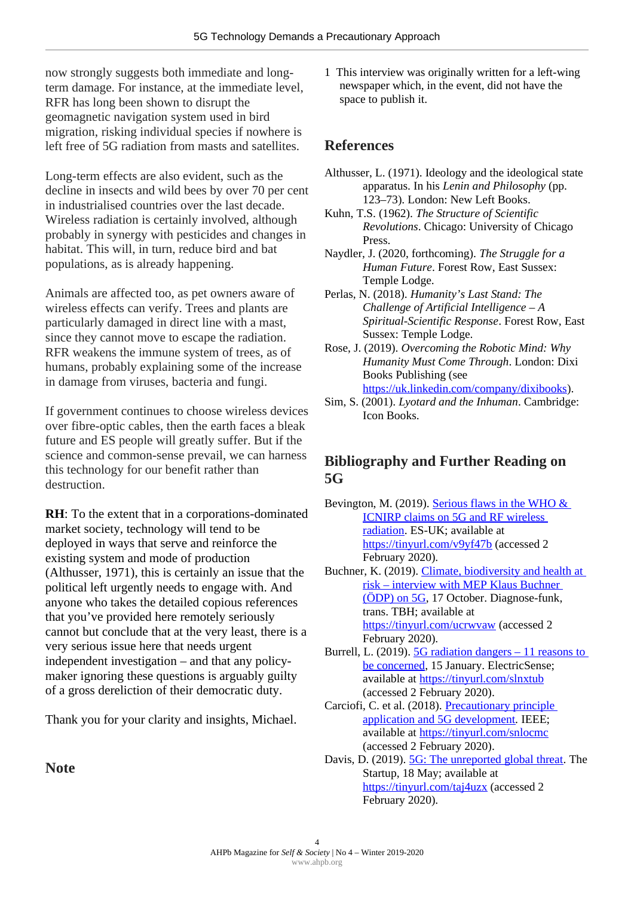now strongly suggests both immediate and longterm damage. For instance, at the immediate level, RFR has long been shown to disrupt the geomagnetic navigation system used in bird migration, risking individual species if nowhere is left free of 5G radiation from masts and satellites.

Long-term effects are also evident, such as the decline in insects and wild bees by over 70 per cent in industrialised countries over the last decade. Wireless radiation is certainly involved, although probably in synergy with pesticides and changes in habitat. This will, in turn, reduce bird and bat populations, as is already happening.

Animals are affected too, as pet owners aware of wireless effects can verify. Trees and plants are particularly damaged in direct line with a mast, since they cannot move to escape the radiation. RFR weakens the immune system of trees, as of humans, probably explaining some of the increase in damage from viruses, bacteria and fungi.

If government continues to choose wireless devices over fibre-optic cables, then the earth faces a bleak future and ES people will greatly suffer. But if the science and common-sense prevail, we can harness this technology for our benefit rather than destruction.

**RH**: To the extent that in a corporations-dominated market society, technology will tend to be deployed in ways that serve and reinforce the existing system and mode of production (Althusser, 1971), this is certainly an issue that the political left urgently needs to engage with. And anyone who takes the detailed copious references that you've provided here remotely seriously cannot but conclude that at the very least, there is a very serious issue here that needs urgent independent investigation – and that any policymaker ignoring these questions is arguably guilty of a gross dereliction of their democratic duty.

Thank you for your clarity and insights, Michael.

**Note**

1 This interview was originally written for a left-wing newspaper which, in the event, did not have the space to publish it.

### **References**

- Althusser, L. (1971). Ideology and the ideological state apparatus. In his *Lenin and Philosophy* (pp. 123–73). London: New Left Books.
- Kuhn, T.S. (1962). *The Structure of Scientific Revolutions*. Chicago: University of Chicago Press.
- Naydler, J. (2020, forthcoming). *The Struggle for a Human Future*. Forest Row, East Sussex: Temple Lodge.
- Perlas, N. (2018). *Humanity's Last Stand: The Challenge of Artificial Intelligence – A Spiritual-Scientific Response*. Forest Row, East Sussex: Temple Lodge.
- Rose, J. (2019). *Overcoming the Robotic Mind: Why Humanity Must Come Through*. London: Dixi Books Publishing (see

[https://uk.linkedin.com/company/dixibooks\)](https://uk.linkedin.com/company/dixibooks).

Sim, S. (2001). *Lyotard and the Inhuman*. Cambridge: Icon Books.

## **Bibliography and Further Reading on 5G**

Bevington, M. (2019). [Serious flaws in the WHO &](http://www.es-uk.info/wp-content/uploads/2019/10/03.6-Serious-flaws-in-the-WHO-ICNIRP-claims-on-5G-and-RF-wireless-radiation.pdf)  [ICNIRP claims on 5G and RF wireless](http://www.es-uk.info/wp-content/uploads/2019/10/03.6-Serious-flaws-in-the-WHO-ICNIRP-claims-on-5G-and-RF-wireless-radiation.pdf)  [radiation.](http://www.es-uk.info/wp-content/uploads/2019/10/03.6-Serious-flaws-in-the-WHO-ICNIRP-claims-on-5G-and-RF-wireless-radiation.pdf) ES-UK; available at <https://tinyurl.com/v9yf47b>(accessed 2 February 2020). Buchner, K. (2019). Climate, biodiversity and health at  [risk – interview with MEP Klaus Buchner](http://mieuxprevenir.blogspot.com/2019/10/climate-biodiversity-and-health-at-risk.html#more)  [\(ÖDP\) on 5G,](http://mieuxprevenir.blogspot.com/2019/10/climate-biodiversity-and-health-at-risk.html#more) 17 October. Diagnose-funk, trans. TBH; available at <https://tinyurl.com/ucrwvaw>(accessed 2 February 2020). Burrell, L. (2019).  $5G$  radiation dangers – 11 reasons to [be concerned,](https://www.electricsense.com/5g-radiation-dangers/) 15 January. ElectricSense; available at<https://tinyurl.com/slnxtub> (accessed 2 February 2020). Carciofi, C. et al. (2018). [Precautionary principle](https://ieeexplore.ieee.org/document/8580997)  [application and 5G development](https://ieeexplore.ieee.org/document/8580997)*.* IEEE; available at<https://tinyurl.com/snlocmc> (accessed 2 February 2020).

Davis, D. (2019). **5G: The unreported global threat**. The Startup, 18 May; available at <https://tinyurl.com/taj4uzx>(accessed 2 February 2020).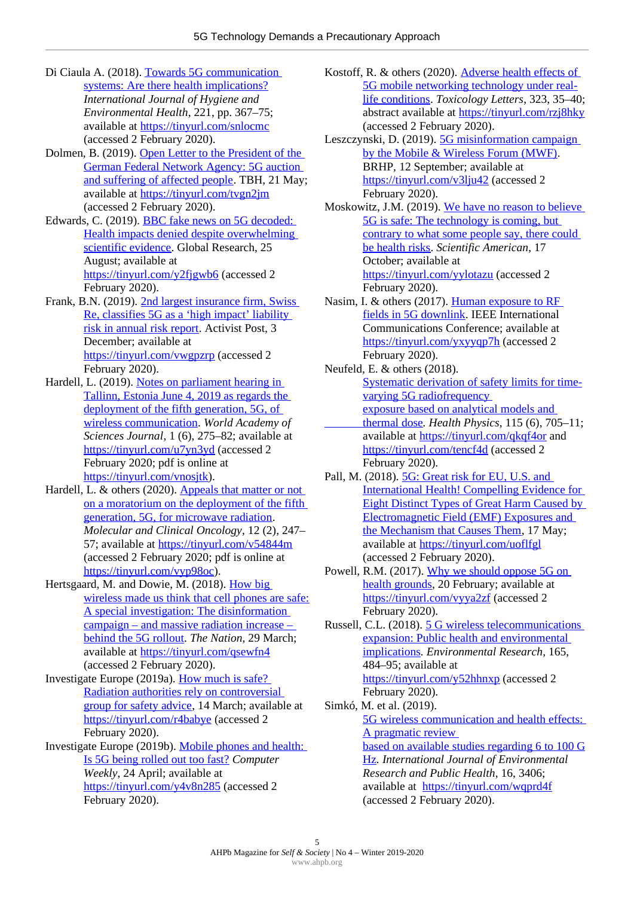- Di Ciaula A. (2018). [Towards 5G communication](https://www.sciencedirect.com/science/article/abs/pii/S1438463917308143?via%3Dihub)  [systems: Are there health implications?](https://www.sciencedirect.com/science/article/abs/pii/S1438463917308143?via%3Dihub) *International Journal of Hygiene and Environmental Health*, 221, pp. 367–75; available at<https://tinyurl.com/snlocmc> (accessed 2 February 2020).
- Dolmen, B. (2019). [Open Letter to the President of the](http://mieuxprevenir.blogspot.com/2019/05/open-letter-to-president-of-german.html#more)  [German Federal Network Agency: 5G auction](http://mieuxprevenir.blogspot.com/2019/05/open-letter-to-president-of-german.html#more)  [and suffering of affected people.](http://mieuxprevenir.blogspot.com/2019/05/open-letter-to-president-of-german.html#more) TBH, 21 May; available at<https://tinyurl.com/tvgn2jm> (accessed 2 February 2020).
- Edwards, C. (2019). [BBC fake news on 5G decoded:](https://www.globalresearch.ca/online-bbc-fake-news-5g-decoded/5687055)  [Health impacts denied despite overwhelming](https://www.globalresearch.ca/online-bbc-fake-news-5g-decoded/5687055)  [scientific evidence.](https://www.globalresearch.ca/online-bbc-fake-news-5g-decoded/5687055) Global Research, 25 August; available at <https://tinyurl.com/y2fjgwb6>(accessed 2 February 2020).
- Frank, B.N. (2019). [2nd largest insurance firm, Swiss](https://www.activistpost.com/2019/12/2nd-largest-insurance-firm-swiss-re-classifies-5g-as-a-high-impact-liability-risk-in-annual-risk-report.html)  [Re, classifies 5G as a 'high impact' liability](https://www.activistpost.com/2019/12/2nd-largest-insurance-firm-swiss-re-classifies-5g-as-a-high-impact-liability-risk-in-annual-risk-report.html)  [risk in annual risk report.](https://www.activistpost.com/2019/12/2nd-largest-insurance-firm-swiss-re-classifies-5g-as-a-high-impact-liability-risk-in-annual-risk-report.html) Activist Post, 3 December; available at <https://tinyurl.com/vwgpzrp>(accessed 2 February 2020).
- Hardell, L. (2019). [Notes on parliament hearing in](https://www.spandidos-publications.com/10.3892/wasj.2019.28/download)  [Tallinn, Estonia June 4, 2019 as regards the](https://www.spandidos-publications.com/10.3892/wasj.2019.28/download)  deployment of the fifth generation, 5G, of [wireless communication.](https://www.spandidos-publications.com/10.3892/wasj.2019.28/download) *World Academy of Sciences Journal*, 1 (6), 275–82; available at <https://tinyurl.com/u7yn3yd>(accessed 2 February 2020; pdf is online at [https://tinyurl.com/vnosjtk\)](https://tinyurl.com/vnosjtk).
- Hardell, L. & others (2020). [Appeals that matter or not](https://www.spandidos-publications.com/10.3892/mco.2020.1984)  [on a moratorium on the deployment of the fifth](https://www.spandidos-publications.com/10.3892/mco.2020.1984)  [generation, 5G, for microwave radiation.](https://www.spandidos-publications.com/10.3892/mco.2020.1984) *Molecular and Clinical Oncology*, 12 (2), 247– 57; available at<https://tinyurl.com/v54844m> (accessed 2 February 2020; pdf is online at [https://tinyurl.com/vyp98oc\)](https://tinyurl.com/vyp98oc).
- Hertsgaard, M. and Dowie, M. (2018). How big [wireless made us think that cell phones are safe:](https://www.thenation.com/article/how-big-wireless-made-us-think-that-cell-phones-are-safe-a-special-investigation/) A special investigation: The disinformation campaign – and massive radiation increase – [behind the 5G rollout.](https://www.thenation.com/article/how-big-wireless-made-us-think-that-cell-phones-are-safe-a-special-investigation/) *The Nation*, 29 March; available at<https://tinyurl.com/qsewfn4> (accessed 2 February 2020).
- Investigate Europe (2019a). [How much is safe?](https://www.investigate-europe.eu/publications/how-much-is-safe/)  [Radiation authorities rely on controversial](https://www.investigate-europe.eu/publications/how-much-is-safe/)  [group for safety advice,](https://www.investigate-europe.eu/publications/how-much-is-safe/) 14 March; available at <https://tinyurl.com/r4babye>(accessed 2 February 2020).
- Investigate Europe (2019b). [Mobile phones and health:](https://www.computerweekly.com/feature/Mobile-phones-and-health-is-5G-being-rolled-out-too-fast)  [Is 5G being rolled out too fast?](https://www.computerweekly.com/feature/Mobile-phones-and-health-is-5G-being-rolled-out-too-fast) *Computer Weekly*, 24 April; available at <https://tinyurl.com/y4v8n285>(accessed 2 February 2020).
- Kostoff, R. & others (2020). [Adverse health effects of](https://www.sciencedirect.com/science/article/abs/pii/S0013935118300161?via%3Dihub)  [5G mobile networking technology under real](https://www.sciencedirect.com/science/article/abs/pii/S0013935118300161?via%3Dihub)[life conditions.](https://www.sciencedirect.com/science/article/abs/pii/S0013935118300161?via%3Dihub) *Toxicology Letters*, 323, 35–40; abstract available at<https://tinyurl.com/rzj8hky> (accessed 2 February 2020).
- Leszczynski, D. (2019). [5G misinformation campaign](https://betweenrockandhardplace.wordpress.com/2019/09/12/5g-misinformation-campaign-by-the-mobile-wireless-forum-mwf/)  [by the Mobile & Wireless Forum \(MWF\).](https://betweenrockandhardplace.wordpress.com/2019/09/12/5g-misinformation-campaign-by-the-mobile-wireless-forum-mwf/) BRHP, 12 September; available at <https://tinyurl.com/v3lju42>(accessed 2 February 2020).
- Moskowitz, J.M. (2019). [We have no reason to believe](https://blogs.scientificamerican.com/observations/we-have-no-reason-to-believe-5g-is-safe/)  5G is safe: The technology is coming, but  [contrary to what some people say, there could](https://blogs.scientificamerican.com/observations/we-have-no-reason-to-believe-5g-is-safe/)  [be health risks.](https://blogs.scientificamerican.com/observations/we-have-no-reason-to-believe-5g-is-safe/) *Scientific American*, 17 October; available at <https://tinyurl.com/yylotazu>(accessed 2 February 2020).
- Nasim, I. & others (2017). [Human exposure to RF](https://arxiv.org/abs/1711.03683)  [fields in 5G downlink.](https://arxiv.org/abs/1711.03683) IEEE International Communications Conference; available at <https://tinyurl.com/yxyyqp7h>(accessed 2 February 2020).
- Neufeld, E. & others (2018).  [Systematic derivation of safety limits for time](https://www.ncbi.nlm.nih.gov/pubmed/30247338)[varying 5G radiofrequency](https://www.ncbi.nlm.nih.gov/pubmed/30247338)   [exposure based on analytical models and](https://www.ncbi.nlm.nih.gov/pubmed/30247338) thermal dose. *Health Physics*, 115 (6), 705-11; available at<https://tinyurl.com/qkqf4or>and <https://tinyurl.com/tencf4d>(accessed 2
- February 2020). Pall, M. (2018). [5G: Great risk for EU, U.S. and](https://www.salzburg.gv.at/gesundheit_/Documents/Pall-EU-EMF2018-6-11US3.pdf)  International Health! Compelling Evidence for [Eight Distinct Types of Great Harm Caused by](https://www.salzburg.gv.at/gesundheit_/Documents/Pall-EU-EMF2018-6-11US3.pdf)  Electromagnetic Field (EMF) Exposures and [the Mechanism that Causes Them,](https://www.salzburg.gv.at/gesundheit_/Documents/Pall-EU-EMF2018-6-11US3.pdf) 17 May; available at<https://tinyurl.com/uoflfgl>
- (accessed 2 February 2020). Powell, R.M. (2017). [Why we should oppose 5G on](https://www.scribd.com/document/339826676/Why-We-Should-Oppose-5G-on-Health-Grounds#from_embed)  [health grounds,](https://www.scribd.com/document/339826676/Why-We-Should-Oppose-5G-on-Health-Grounds#from_embed) 20 February; available at <https://tinyurl.com/vyya2zf>(accessed 2 February 2020).
- Russell, C.L. (2018). [5 G wireless telecommunications](https://www.sciencedirect.com/science/article/abs/pii/S0013935118300161?via%3Dihub)  [expansion: Public health and environmental](https://www.sciencedirect.com/science/article/abs/pii/S0013935118300161?via%3Dihub)  [implications](https://www.sciencedirect.com/science/article/abs/pii/S0013935118300161?via%3Dihub)*. Environmental Research*, 165, 484–95; available at <https://tinyurl.com/y52hhnxp>(accessed 2 February 2020).
- Simkó, M. et al. (2019).  [5G wireless communication and health effects:](https://www.mdpi.com/1660-4601/16/18/3406/pdf)  A pragmatic review  [based on available studies regarding 6 to 100 G](https://www.mdpi.com/1660-4601/16/18/3406/pdf) [Hz](https://www.mdpi.com/1660-4601/16/18/3406/pdf)*. International Journal of Environmental Research and Public Health*, 16, 3406; available at <https://tinyurl.com/wqprd4f> (accessed 2 February 2020).